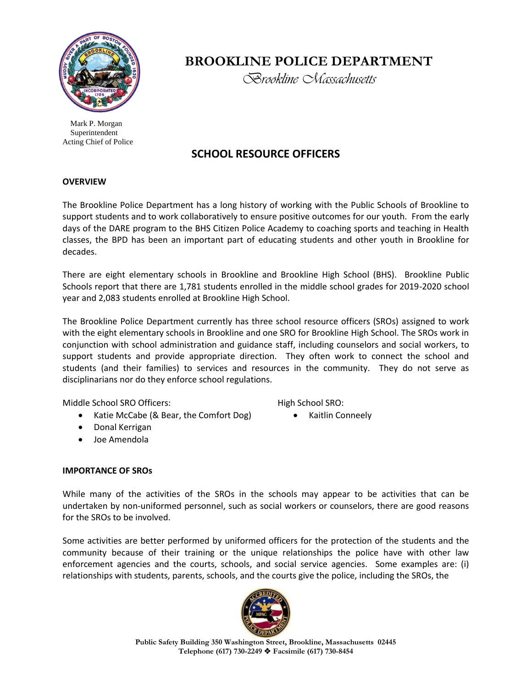

 Mark P. Morgan Superintendent Acting Chief of Police

# **BROOKLINE POLICE DEPARTMENT**

*Brookline Massachusetts*

# **SCHOOL RESOURCE OFFICERS**

#### **OVERVIEW**

The Brookline Police Department has a long history of working with the Public Schools of Brookline to support students and to work collaboratively to ensure positive outcomes for our youth. From the early days of the DARE program to the BHS Citizen Police Academy to coaching sports and teaching in Health classes, the BPD has been an important part of educating students and other youth in Brookline for decades.

There are eight elementary schools in Brookline and Brookline High School (BHS). Brookline Public Schools report that there are 1,781 students enrolled in the middle school grades for 2019-2020 school year and 2,083 students enrolled at Brookline High School.

The Brookline Police Department currently has three school resource officers (SROs) assigned to work with the eight elementary schools in Brookline and one SRO for Brookline High School. The SROs work in conjunction with school administration and guidance staff, including counselors and social workers, to support students and provide appropriate direction. They often work to connect the school and students (and their families) to services and resources in the community. They do not serve as disciplinarians nor do they enforce school regulations.

Middle School SRO Officers:

- Katie McCabe (& Bear, the Comfort Dog)
- Donal Kerrigan
- Joe Amendola

High School SRO:

Kaitlin Conneely

## **IMPORTANCE OF SROs**

While many of the activities of the SROs in the schools may appear to be activities that can be undertaken by non-uniformed personnel, such as social workers or counselors, there are good reasons for the SROs to be involved.

Some activities are better performed by uniformed officers for the protection of the students and the community because of their training or the unique relationships the police have with other law enforcement agencies and the courts, schools, and social service agencies. Some examples are: (i) relationships with students, parents, schools, and the courts give the police, including the SROs, the



**Public Safety Building 350 Washington Street, Brookline, Massachusetts 02445 Telephone (617) 730-2249 Facsimile (617) 730-8454**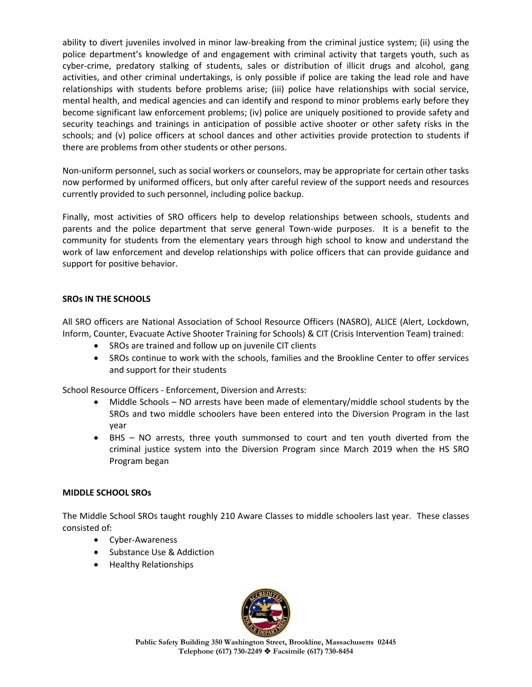ability to divert juveniles involved in minor law-breaking from the criminal justice system; (ii) using the police department's knowledge of and engagement with criminal activity that targets youth, such as cyber-crime, predatory stalking of students, sales or distribution of illicit drugs and alcohol, gang activities, and other criminal undertakings, is only possible if police are taking the lead role and have relationships with students before problems arise; (iii) police have relationships with social service, mental health, and medical agencies and can identify and respond to minor problems early before they become significant law enforcement problems; (iv) police are uniquely positioned to provide safety and security teachings and trainings in anticipation of possible active shooter or other safety risks in the schools; and (v) police officers at school dances and other activities provide protection to students if there are problems from other students or other persons.

Non-uniform personnel, such as social workers or counselors, may be appropriate for certain other tasks now performed by uniformed officers, but only after careful review of the support needs and resources currently provided to such personnel, including police backup.

Finally, most activities of SRO officers help to develop relationships between schools, students and parents and the police department that serve general Town-wide purposes. It is a benefit to the community for students from the elementary years through high school to know and understand the work of law enforcement and develop relationships with police officers that can provide guidance and support for positive behavior.

#### **SROs IN THE SCHOOLS**

All SRO officers are National Association of School Resource Officers (NASRO), ALICE (Alert, Lockdown, Inform, Counter, Evacuate Active Shooter Training for Schools) & CIT (Crisis Intervention Team) trained:

- SROs are trained and follow up on juvenile CIT clients
- SROs continue to work with the schools, families and the Brookline Center to offer services and support for their students

School Resource Officers - Enforcement, Diversion and Arrests:

- Middle Schools NO arrests have been made of elementary/middle school students by the SROs and two middle schoolers have been entered into the Diversion Program in the last year
- BHS NO arrests, three youth summonsed to court and ten youth diverted from the criminal justice system into the Diversion Program since March 2019 when the HS SRO Program began

#### **MIDDLE SCHOOL SROs**

The Middle School SROs taught roughly 210 Aware Classes to middle schoolers last year. These classes consisted of:

- Cyber-Awareness
- Substance Use & Addiction
- Healthy Relationships



**Public Safety Building 350 Washington Street, Brookline, Massachusetts 02445 Telephone (617) 730-2249 Facsimile (617) 730-8454**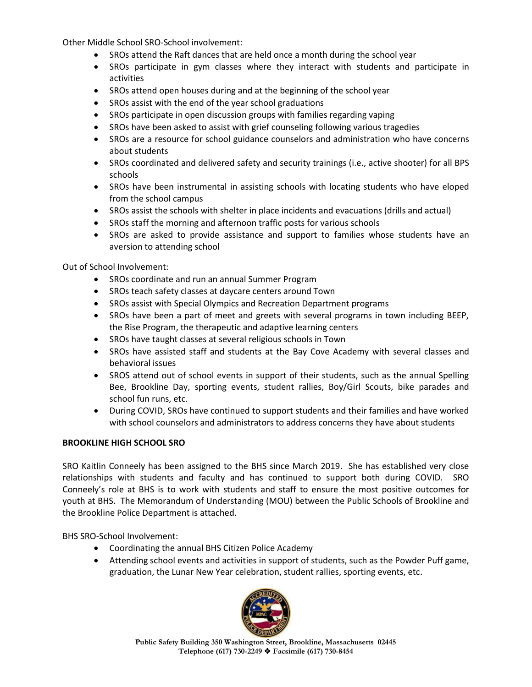Other Middle School SRO-School involvement:

- SROs attend the Raft dances that are held once a month during the school year
- SROs participate in gym classes where they interact with students and participate in activities
- SROs attend open houses during and at the beginning of the school year
- SROs assist with the end of the year school graduations
- SROs participate in open discussion groups with families regarding vaping
- SROs have been asked to assist with grief counseling following various tragedies
- SROs are a resource for school guidance counselors and administration who have concerns about students
- SROs coordinated and delivered safety and security trainings (i.e., active shooter) for all BPS schools
- SROs have been instrumental in assisting schools with locating students who have eloped from the school campus
- SROs assist the schools with shelter in place incidents and evacuations (drills and actual)
- SROs staff the morning and afternoon traffic posts for various schools
- SROs are asked to provide assistance and support to families whose students have an aversion to attending school

Out of School Involvement:

- SROs coordinate and run an annual Summer Program
- SROs teach safety classes at daycare centers around Town
- SROs assist with Special Olympics and Recreation Department programs
- SROs have been a part of meet and greets with several programs in town including BEEP, the Rise Program, the therapeutic and adaptive learning centers
- SROs have taught classes at several religious schools in Town
- SROs have assisted staff and students at the Bay Cove Academy with several classes and behavioral issues
- SROS attend out of school events in support of their students, such as the annual Spelling Bee, Brookline Day, sporting events, student rallies, Boy/Girl Scouts, bike parades and school fun runs, etc.
- During COVID, SROs have continued to support students and their families and have worked with school counselors and administrators to address concerns they have about students

## **BROOKLINE HIGH SCHOOL SRO**

SRO Kaitlin Conneely has been assigned to the BHS since March 2019. She has established very close relationships with students and faculty and has continued to support both during COVID. SRO Conneely's role at BHS is to work with students and staff to ensure the most positive outcomes for youth at BHS. The Memorandum of Understanding (MOU) between the Public Schools of Brookline and the Brookline Police Department is attached.

BHS SRO-School Involvement:

- Coordinating the annual BHS Citizen Police Academy
- Attending school events and activities in support of students, such as the Powder Puff game, graduation, the Lunar New Year celebration, student rallies, sporting events, etc.